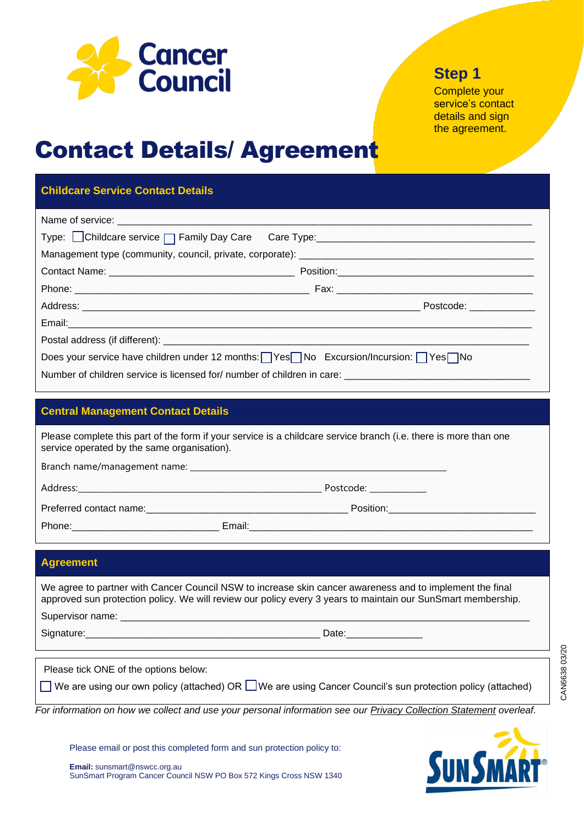

## **Step 1**

Complete your service's contact details and sign the agreement.

# **Contact Details/ Agreement**

### **Childcare Service Contact Details**

| Type: Childcare service □ Family Day Care Care Type: Care Type: Care Type: Childcare service □ Family Day Care Care Type: |  |  |
|---------------------------------------------------------------------------------------------------------------------------|--|--|
|                                                                                                                           |  |  |
|                                                                                                                           |  |  |
|                                                                                                                           |  |  |
|                                                                                                                           |  |  |
|                                                                                                                           |  |  |
|                                                                                                                           |  |  |
| Does your service have children under 12 months: $\sqrt{Y}$ es No Excursion/Incursion: $\sqrt{Y}$ es No                   |  |  |
| Number of children service is licensed for/number of children in care: _____________________________                      |  |  |

#### **Central Management Contact Details**

| Please complete this part of the form if your service is a childcare service branch (i.e. there is more than one<br>service operated by the same organisation). |           |
|-----------------------------------------------------------------------------------------------------------------------------------------------------------------|-----------|
| Branch name/management name:                                                                                                                                    |           |
| Address:                                                                                                                                                        | Postcode: |

Preferred contact name:\_\_\_\_\_\_\_\_\_\_\_\_\_\_\_\_\_\_\_\_\_\_\_\_\_\_\_\_\_\_\_\_\_\_\_\_\_ Position:\_\_\_\_\_\_\_\_\_\_\_\_\_\_\_\_\_\_\_\_\_\_\_\_\_\_\_ Phone: The Contract of the Email:

**Agreement**

We agree to partner with Cancer Council NSW to increase skin cancer awareness and to implement the final approved sun protection policy. We will review our policy every 3 years to maintain our SunSmart membership.

Supervisor name:

Signature:\_\_\_\_\_\_\_\_\_\_\_\_\_\_\_\_\_\_\_\_\_\_\_\_\_\_\_\_\_\_\_\_\_\_\_\_\_\_\_\_\_\_\_ Date:\_\_\_\_\_\_\_\_\_\_\_\_\_\_

Please tick ONE of the options below:

We are using our own policy (attached) OR  $\square$  We are using Cancer Council's sun protection policy (attached)

*For information on how we collect and use your personal information see our Privacy Collection Statement overleaf.*

Please email or post this completed form and sun protection policy to:

**Email:** sunsmart@nswcc.org.au SunSmart Program Cancer Council NSW PO Box 572 Kings Cross NSW 1340